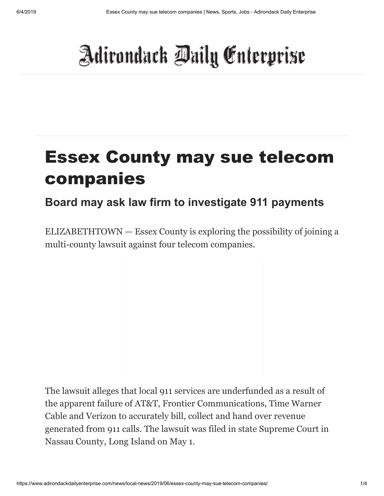## Adirondack Daily Enterprise

## Essex County may sue telecom companies

## **Board may ask law firm to investigate 911 payments**

ELIZABETHTOWN — Essex County is exploring the possibility of joining a multi-county lawsuit against four telecom companies.

The lawsuit alleges that local 911 services are underfunded as a result of the apparent failure of AT&T, Frontier Communications, Time Warner Cable and Verizon to accurately bill, collect and hand over revenue generated from 911 calls. The lawsuit was filed in state Supreme Court in Nassau County, Long Island on May 1.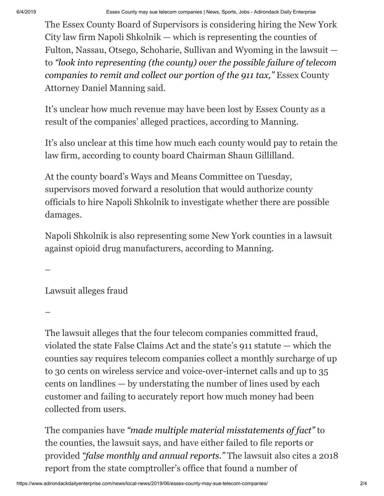The Essex County Board of Supervisors is considering hiring the New York City law firm Napoli Shkolnik — which is representing the counties of Fulton, Nassau, Otsego, Schoharie, Sullivan and Wyoming in the lawsuit to *"look into representing (the county) over the possible failure of telecom companies to remit and collect our portion of the 911 tax,"* Essex County Attorney Daniel Manning said.

It's unclear how much revenue may have been lost by Essex County as a result of the companies' alleged practices, according to Manning.

It's also unclear at this time how much each county would pay to retain the law firm, according to county board Chairman Shaun Gillilland.

At the county board's Ways and Means Committee on Tuesday, supervisors moved forward a resolution that would authorize county officials to hire Napoli Shkolnik to investigate whether there are possible damages.

Napoli Shkolnik is also representing some New York counties in a lawsuit against opioid drug manufacturers, according to Manning.

–

Lawsuit alleges fraud

–

The lawsuit alleges that the four telecom companies committed fraud, violated the state False Claims Act and the state's 911 statute — which the counties say requires telecom companies collect a monthly surcharge of up to 30 cents on wireless service and voice-over-internet calls and up to 35 cents on landlines — by understating the number of lines used by each customer and failing to accurately report how much money had been collected from users.

The companies have *"made multiple material misstatements of fact"* to the counties, the lawsuit says, and have either failed to file reports or provided *"false monthly and annual reports."* The lawsuit also cites a 2018 report from the state comptroller's office that found a number of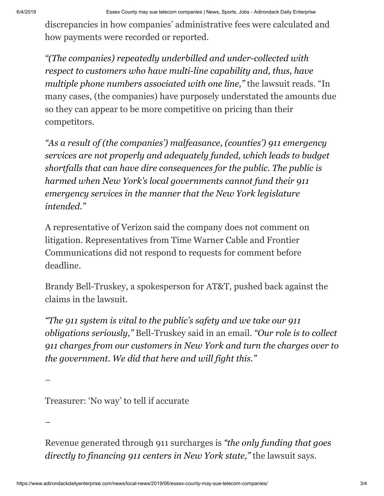discrepancies in how companies' administrative fees were calculated and how payments were recorded or reported.

*"(The companies) repeatedly underbilled and under-collected with respect to customers who have multi-line capability and, thus, have multiple phone numbers associated with one line,"* the lawsuit reads. "In many cases, (the companies) have purposely understated the amounts due so they can appear to be more competitive on pricing than their competitors.

*"As a result of (the companies') malfeasance, (counties') 911 emergency services are not properly and adequately funded, which leads to budget shortfalls that can have dire consequences for the public. The public is harmed when New York's local governments cannot fund their 911 emergency services in the manner that the New York legislature intended."*

A representative of Verizon said the company does not comment on litigation. Representatives from Time Warner Cable and Frontier Communications did not respond to requests for comment before deadline.

Brandy Bell-Truskey, a spokesperson for AT&T, pushed back against the claims in the lawsuit.

*"The 911 system is vital to the public's safety and we take our 911 obligations seriously,"* Bell-Truskey said in an email. *"Our role is to collect 911 charges from our customers in New York and turn the charges over to the government. We did that here and will fight this."*

–

Treasurer: 'No way' to tell if accurate

–

Revenue generated through 911 surcharges is *"the only funding that goes directly to financing 911 centers in New York state,"* the lawsuit says.